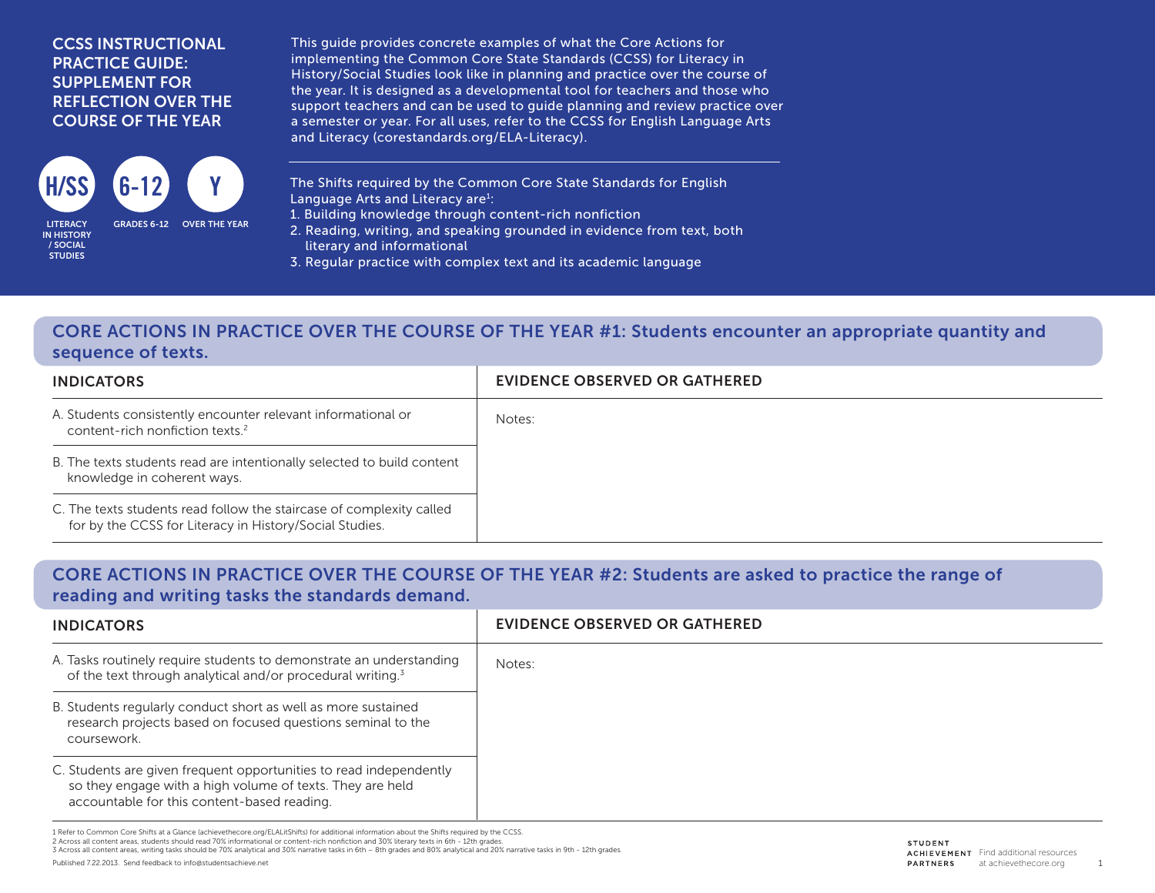#### CCSS INSTRUCTIONAL PRACTICE GUIDE: SUPPLEMENT FOR REFLECTION OVER THE COURSE OF THE YEAR



IN HISTORY / SOCIAL STUDIES

This guide provides concrete examples of what the Core Actions for implementing the Common Core State Standards (CCSS) for Literacy in History/Social Studies look like in planning and practice over the course of the year. It is designed as a developmental tool for teachers and those who support teachers and can be used to guide planning and review practice over a semester or year. For all uses, refer to the CCSS for English Language Arts and Literacy (corestandards.org/ELA-Literacy).

The Shifts required by the Common Core State Standards for English Language Arts and Literacy are<sup>1</sup>:

- 1. Building knowledge through content-rich nonfiction
- 2. Reading, writing, and speaking grounded in evidence from text, both literary and informational
- 3. Regular practice with complex text and its academic language

## CORE ACTIONS IN PRACTICE OVER THE COURSE OF THE YEAR #1: Students encounter an appropriate quantity and sequence of texts.

| <b>INDICATORS</b>                                                                                                               | EVIDENCE OBSERVED OR GATHERED |
|---------------------------------------------------------------------------------------------------------------------------------|-------------------------------|
| A. Students consistently encounter relevant informational or<br>content-rich nonfiction texts. <sup>2</sup>                     | Notes:                        |
| B. The texts students read are intentionally selected to build content<br>knowledge in coherent ways.                           |                               |
| C. The texts students read follow the staircase of complexity called<br>for by the CCSS for Literacy in History/Social Studies. |                               |

## CORE ACTIONS IN PRACTICE OVER THE COURSE OF THE YEAR #2: Students are asked to practice the range of reading and writing tasks the standards demand.

| <b>INDICATORS</b>                                                                                                                                                              | EVIDENCE OBSERVED OR GATHERED |
|--------------------------------------------------------------------------------------------------------------------------------------------------------------------------------|-------------------------------|
| A. Tasks routinely require students to demonstrate an understanding<br>of the text through analytical and/or procedural writing. <sup>3</sup>                                  | Notes:                        |
| B. Students regularly conduct short as well as more sustained<br>research projects based on focused questions seminal to the<br>coursework.                                    |                               |
| C. Students are given frequent opportunities to read independently<br>so they engage with a high volume of texts. They are held<br>accountable for this content-based reading. |                               |

1 Refer to Common Core Shifts at a Glance (achievethecore.org/ELALitShifts) for additional information about the Shifts required by the CCSS. 2 Across all content areas, students should read 70% informational or content-rich nonfiction and 30% literary texts in 6th - 12th grades.

3 Across all content areas, writing tasks should be 70% analytical and 30% narrative tasks in 6th – 8th grades and 80% analytical and 20% narrative tasks in 9th - 12th grades.